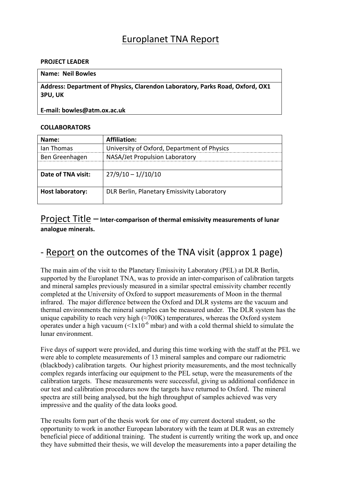# Europlanet TNA Report

#### **PROJECT LEADER**

### Name: Neil Bowles

Address: Department of Physics, Clarendon Laboratory, Parks Road, Oxford, OX1 **3PU, UK** 

#### E-mail: bowles@atm.ox.ac.uk

#### **COLLABORATORS**

| Name:                   | <b>Affiliation:</b>                         |
|-------------------------|---------------------------------------------|
| lan Thomas              | University of Oxford, Department of Physics |
| Ben Greenhagen          | NASA/Jet Propulsion Laboratory              |
|                         |                                             |
| Date of TNA visit:      | $27/9/10 - 1//10/10$                        |
| <b>Host laboratory:</b> | DLR Berlin, Planetary Emissivity Laboratory |

### Project Title – Inter-comparison of thermal emissivity measurements of lunar analogue minerals.

## - Report on the outcomes of the TNA visit (approx 1 page)

The main aim of the visit to the Planetary Emissivity Laboratory (PEL) at DLR Berlin, supported by the Europlanet TNA, was to provide an inter-comparison of calibration targets and mineral samples previously measured in a similar spectral emissivity chamber recently completed at the University of Oxford to support measurements of Moon in the thermal infrared. The major difference between the Oxford and DLR systems are the vacuum and thermal environments the mineral samples can be measured under. The DLR system has the unique capability to reach very high  $(\approx 700K)$  temperatures, whereas the Oxford system operates under a high vacuum  $(<1x10^{-6}$  mbar) and with a cold thermal shield to simulate the lunar environment.

Five days of support were provided, and during this time working with the staff at the PEL we were able to complete measurements of 13 mineral samples and compare our radiometric (blackbody) calibration targets. Our highest priority measurements, and the most technically complex regards interfacing our equipment to the PEL setup, were the measurements of the calibration targets. These measurements were successful, giving us additional confidence in our test and calibration procedures now the targets have returned to Oxford. The mineral spectra are still being analysed, but the high throughput of samples achieved was very impressive and the quality of the data looks good.

The results form part of the thesis work for one of my current doctoral student, so the opportunity to work in another European laboratory with the team at DLR was an extremely beneficial piece of additional training. The student is currently writing the work up, and once they have submitted their thesis, we will develop the measurements into a paper detailing the